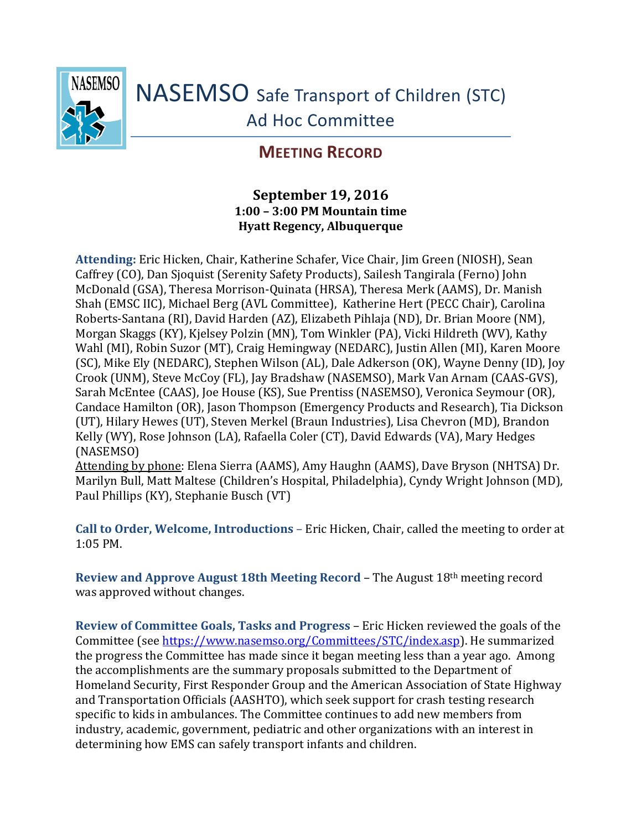

## **MEETING RECORD**

## **September 19, 2016 1:00 – 3:00 PM Mountain time Hyatt Regency, Albuquerque**

**Attending:** Eric Hicken, Chair, Katherine Schafer, Vice Chair, Jim Green (NIOSH), Sean Caffrey (CO), Dan Sjoquist (Serenity Safety Products), Sailesh Tangirala (Ferno) John McDonald (GSA), Theresa Morrison-Quinata (HRSA), Theresa Merk (AAMS), Dr. Manish Shah (EMSC IIC), Michael Berg (AVL Committee), Katherine Hert (PECC Chair), Carolina Roberts-Santana (RI), David Harden (AZ), Elizabeth Pihlaja (ND), Dr. Brian Moore (NM), Morgan Skaggs (KY), Kjelsey Polzin (MN), Tom Winkler (PA), Vicki Hildreth (WV), Kathy Wahl (MI), Robin Suzor (MT), Craig Hemingway (NEDARC), Justin Allen (MI), Karen Moore (SC), Mike Ely (NEDARC), Stephen Wilson (AL), Dale Adkerson (OK), Wayne Denny (ID), Joy Crook (UNM), Steve McCoy (FL), Jay Bradshaw (NASEMSO), Mark Van Arnam (CAAS-GVS), Sarah McEntee (CAAS), Joe House (KS), Sue Prentiss (NASEMSO), Veronica Seymour (OR), Candace Hamilton (OR), Jason Thompson (Emergency Products and Research), Tia Dickson (UT), Hilary Hewes (UT), Steven Merkel (Braun Industries), Lisa Chevron (MD), Brandon Kelly (WY), Rose Johnson (LA), Rafaella Coler (CT), David Edwards (VA), Mary Hedges (NASEMSO)

Attending by phone: Elena Sierra (AAMS), Amy Haughn (AAMS), Dave Bryson (NHTSA) Dr. Marilyn Bull, Matt Maltese (Children's Hospital, Philadelphia), Cyndy Wright Johnson (MD), Paul Phillips (KY), Stephanie Busch (VT)

**Call to Order, Welcome, Introductions** – Eric Hicken, Chair, called the meeting to order at 1:05 PM.

**Review and Approve August 18th Meeting Record** – The August 18th meeting record was approved without changes.

**Review of Committee Goals, Tasks and Progress** – Eric Hicken reviewed the goals of the Committee (see [https://www.nasemso.org/Committees/STC/index.asp\)](https://www.nasemso.org/Committees/STC/index.asp). He summarized the progress the Committee has made since it began meeting less than a year ago. Among the accomplishments are the summary proposals submitted to the Department of Homeland Security, First Responder Group and the American Association of State Highway and Transportation Officials (AASHTO), which seek support for crash testing research specific to kids in ambulances. The Committee continues to add new members from industry, academic, government, pediatric and other organizations with an interest in determining how EMS can safely transport infants and children.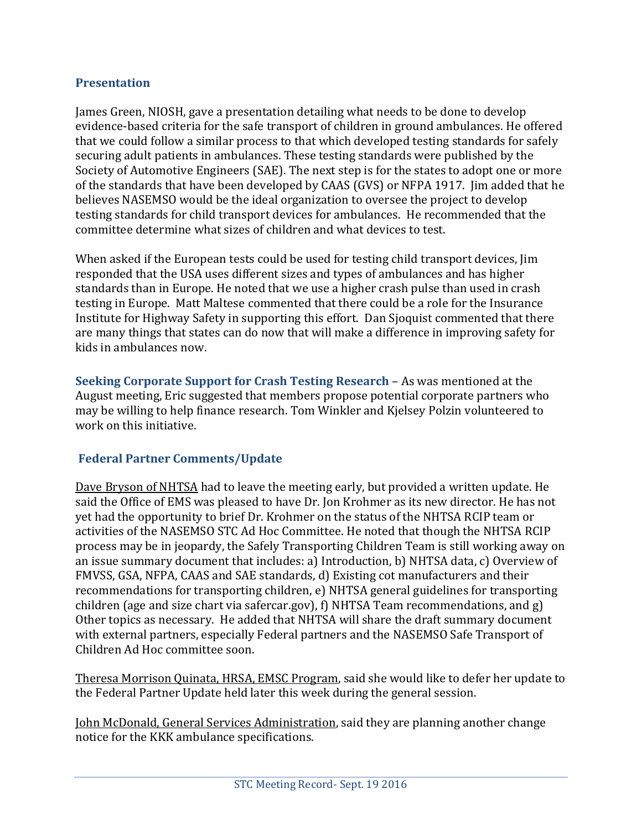## **Presentation**

James Green, NIOSH, gave a presentation detailing what needs to be done to develop evidence-based criteria for the safe transport of children in ground ambulances. He offered that we could follow a similar process to that which developed testing standards for safely securing adult patients in ambulances. These testing standards were published by the Society of Automotive Engineers (SAE). The next step is for the states to adopt one or more of the standards that have been developed by CAAS (GVS) or NFPA 1917. Jim added that he believes NASEMSO would be the ideal organization to oversee the project to develop testing standards for child transport devices for ambulances. He recommended that the committee determine what sizes of children and what devices to test.

When asked if the European tests could be used for testing child transport devices, Jim responded that the USA uses different sizes and types of ambulances and has higher standards than in Europe. He noted that we use a higher crash pulse than used in crash testing in Europe. Matt Maltese commented that there could be a role for the Insurance Institute for Highway Safety in supporting this effort. Dan Sjoquist commented that there are many things that states can do now that will make a difference in improving safety for kids in ambulances now.

**Seeking Corporate Support for Crash Testing Research** – As was mentioned at the August meeting, Eric suggested that members propose potential corporate partners who may be willing to help finance research. Tom Winkler and Kjelsey Polzin volunteered to work on this initiative.

## **Federal Partner Comments/Update**

Dave Bryson of NHTSA had to leave the meeting early, but provided a written update. He said the Office of EMS was pleased to have Dr. Jon Krohmer as its new director. He has not yet had the opportunity to brief Dr. Krohmer on the status of the NHTSA RCIP team or activities of the NASEMSO STC Ad Hoc Committee. He noted that though the NHTSA RCIP process may be in jeopardy, the Safely Transporting Children Team is still working away on an issue summary document that includes: a) Introduction, b) NHTSA data, c) Overview of FMVSS, GSA, NFPA, CAAS and SAE standards, d) Existing cot manufacturers and their recommendations for transporting children, e) NHTSA general guidelines for transporting children (age and size chart via safercar.gov), f) NHTSA Team recommendations, and g) Other topics as necessary. He added that NHTSA will share the draft summary document with external partners, especially Federal partners and the NASEMSO Safe Transport of Children Ad Hoc committee soon.

Theresa Morrison Quinata, HRSA, EMSC Program, said she would like to defer her update to the Federal Partner Update held later this week during the general session.

John McDonald, General Services Administration, said they are planning another change notice for the KKK ambulance specifications.